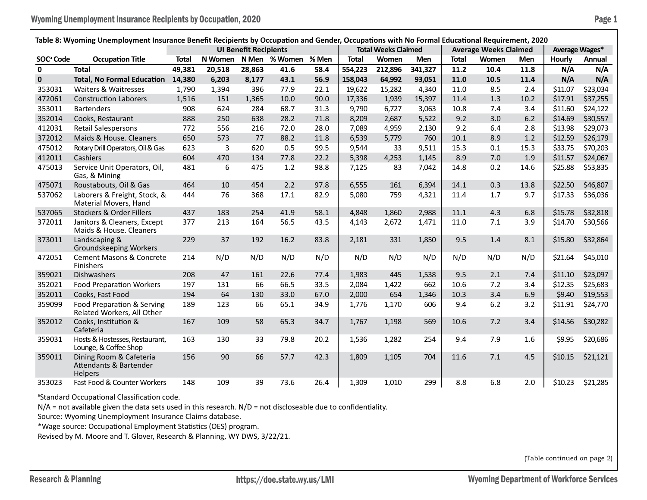| Table 8: Wyoming Unemployment Insurance Benefit Recipients by Occupation and Gender, Occupations with No Formal Educational Requirement, 2020 |                                                                         |              |         |                              |               |       |                            |         |            |              |                              |                |               |          |
|-----------------------------------------------------------------------------------------------------------------------------------------------|-------------------------------------------------------------------------|--------------|---------|------------------------------|---------------|-------|----------------------------|---------|------------|--------------|------------------------------|----------------|---------------|----------|
|                                                                                                                                               |                                                                         |              |         | <b>UI Benefit Recipients</b> |               |       | <b>Total Weeks Claimed</b> |         |            |              | <b>Average Weeks Claimed</b> | Average Wages* |               |          |
| SOC <sup>ª</sup> Code                                                                                                                         | <b>Occupation Title</b>                                                 | <b>Total</b> | N Women |                              | N Men % Women | % Men | <b>Total</b>               | Women   | <b>Men</b> | <b>Total</b> | Women                        | Men            | <b>Hourly</b> | Annual   |
| $\mathbf{0}$                                                                                                                                  | <b>Total</b>                                                            | 49,381       | 20,518  | 28,863                       | 41.6          | 58.4  | 554,223                    | 212,896 | 341,327    | 11.2         | 10.4                         | 11.8           | N/A           | N/A      |
| $\mathbf 0$                                                                                                                                   | <b>Total, No Formal Education</b>                                       | 14,380       | 6.203   | 8,177                        | 43.1          | 56.9  | 158,043                    | 64,992  | 93,051     | 11.0         | 10.5                         | 11.4           | N/A           | N/A      |
| 353031                                                                                                                                        | Waiters & Waitresses                                                    | 1,790        | 1,394   | 396                          | 77.9          | 22.1  | 19,622                     | 15,282  | 4,340      | 11.0         | 8.5                          | 2.4            | \$11.07       | \$23,034 |
| 472061                                                                                                                                        | <b>Construction Laborers</b>                                            | 1,516        | 151     | 1,365                        | 10.0          | 90.0  | 17,336                     | 1,939   | 15,397     | 11.4         | 1.3                          | 10.2           | \$17.91       | \$37,255 |
| 353011                                                                                                                                        | <b>Bartenders</b>                                                       | 908          | 624     | 284                          | 68.7          | 31.3  | 9,790                      | 6,727   | 3,063      | 10.8         | 7.4                          | 3.4            | \$11.60       | \$24,122 |
| 352014                                                                                                                                        | Cooks, Restaurant                                                       | 888          | 250     | 638                          | 28.2          | 71.8  | 8,209                      | 2,687   | 5,522      | 9.2          | 3.0                          | 6.2            | \$14.69       | \$30,557 |
| 412031                                                                                                                                        | <b>Retail Salespersons</b>                                              | 772          | 556     | 216                          | 72.0          | 28.0  | 7,089                      | 4,959   | 2,130      | 9.2          | 6.4                          | 2.8            | \$13.98       | \$29,073 |
| 372012                                                                                                                                        | Maids & House. Cleaners                                                 | 650          | 573     | 77                           | 88.2          | 11.8  | 6,539                      | 5,779   | 760        | 10.1         | 8.9                          | 1.2            | \$12.59       | \$26,179 |
| 475012                                                                                                                                        | Rotary Drill Operators, Oil & Gas                                       | 623          | 3       | 620                          | 0.5           | 99.5  | 9,544                      | 33      | 9,511      | 15.3         | 0.1                          | 15.3           | \$33.75       | \$70,203 |
| 412011                                                                                                                                        | Cashiers                                                                | 604          | 470     | 134                          | 77.8          | 22.2  | 5,398                      | 4,253   | 1,145      | 8.9          | 7.0                          | 1.9            | \$11.57       | \$24,067 |
| 475013                                                                                                                                        | Service Unit Operators, Oil,<br>Gas, & Mining                           | 481          | 6       | 475                          | 1.2           | 98.8  | 7,125                      | 83      | 7,042      | 14.8         | 0.2                          | 14.6           | \$25.88       | \$53,835 |
| 475071                                                                                                                                        | Roustabouts, Oil & Gas                                                  | 464          | 10      | 454                          | 2.2           | 97.8  | 6,555                      | 161     | 6,394      | 14.1         | 0.3                          | 13.8           | \$22.50       | \$46,807 |
| 537062                                                                                                                                        | Laborers & Freight, Stock, &<br>Material Movers, Hand                   | 444          | 76      | 368                          | 17.1          | 82.9  | 5,080                      | 759     | 4,321      | 11.4         | 1.7                          | 9.7            | \$17.33       | \$36,036 |
| 537065                                                                                                                                        | <b>Stockers &amp; Order Fillers</b>                                     | 437          | 183     | 254                          | 41.9          | 58.1  | 4,848                      | 1,860   | 2,988      | 11.1         | 4.3                          | 6.8            | \$15.78       | \$32,818 |
| 372011                                                                                                                                        | Janitors & Cleaners, Except<br>Maids & House, Cleaners                  | 377          | 213     | 164                          | 56.5          | 43.5  | 4,143                      | 2,672   | 1,471      | 11.0         | 7.1                          | 3.9            | \$14.70       | \$30,566 |
| 373011                                                                                                                                        | Landscaping &<br><b>Groundskeeping Workers</b>                          | 229          | 37      | 192                          | 16.2          | 83.8  | 2,181                      | 331     | 1,850      | 9.5          | 1.4                          | 8.1            | \$15.80       | \$32,864 |
| 472051                                                                                                                                        | <b>Cement Masons &amp; Concrete</b><br>Finishers                        | 214          | N/D     | N/D                          | N/D           | N/D   | N/D                        | N/D     | N/D        | N/D          | N/D                          | N/D            | \$21.64       | \$45,010 |
| 359021                                                                                                                                        | Dishwashers                                                             | 208          | 47      | 161                          | 22.6          | 77.4  | 1,983                      | 445     | 1,538      | 9.5          | 2.1                          | 7.4            | \$11.10       | \$23,097 |
| 352021                                                                                                                                        | <b>Food Preparation Workers</b>                                         | 197          | 131     | 66                           | 66.5          | 33.5  | 2,084                      | 1,422   | 662        | 10.6         | 7.2                          | 3.4            | \$12.35       | \$25,683 |
| 352011                                                                                                                                        | Cooks, Fast Food                                                        | 194          | 64      | 130                          | 33.0          | 67.0  | 2,000                      | 654     | 1,346      | 10.3         | 3.4                          | 6.9            | \$9.40        | \$19,553 |
| 359099                                                                                                                                        | Food Preparation & Serving<br>Related Workers, All Other                | 189          | 123     | 66                           | 65.1          | 34.9  | 1,776                      | 1,170   | 606        | 9.4          | $6.2$                        | 3.2            | \$11.91       | \$24,770 |
| 352012                                                                                                                                        | Cooks, Institution &<br>Cafeteria                                       | 167          | 109     | 58                           | 65.3          | 34.7  | 1,767                      | 1,198   | 569        | 10.6         | 7.2                          | 3.4            | \$14.56       | \$30,282 |
| 359031                                                                                                                                        | Hosts & Hostesses, Restaurant,<br>Lounge, & Coffee Shop                 | 163          | 130     | 33                           | 79.8          | 20.2  | 1,536                      | 1,282   | 254        | 9.4          | 7.9                          | 1.6            | \$9.95        | \$20,686 |
| 359011                                                                                                                                        | Dining Room & Cafeteria<br><b>Attendants &amp; Bartender</b><br>Helpers | 156          | 90      | 66                           | 57.7          | 42.3  | 1,809                      | 1,105   | 704        | 11.6         | 7.1                          | 4.5            | \$10.15       | \$21,121 |
| 353023                                                                                                                                        | Fast Food & Counter Workers                                             | 148          | 109     | 39                           | 73.6          | 26.4  | 1,309                      | 1,010   | 299        | 8.8          | 6.8                          | 2.0            | \$10.23       | \$21,285 |

<sup>a</sup>Standard Occupational Classification code.

N/A = not available given the data sets used in this research. N/D = not discloseable due to confidentiality.

Source: Wyoming Unemployment Insurance Claims database.

\*Wage source: Occupational Employment Statistics (OES) program.

Revised by M. Moore and T. Glover, Research & Planning, WY DWS, 3/22/21.

(Table continued on page 2)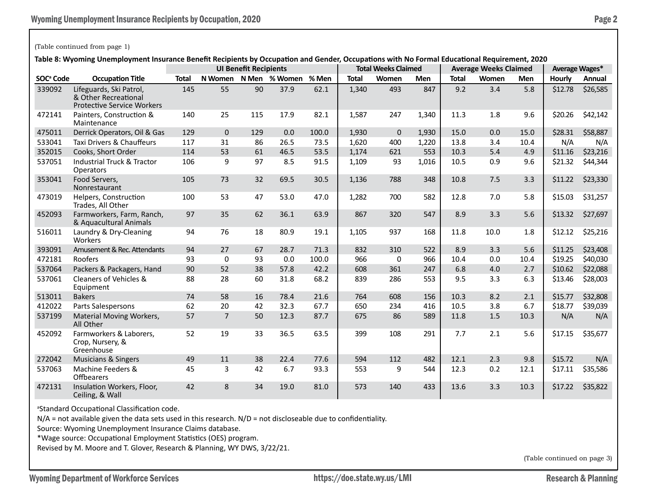## (Table continued from page 1)

**Table 8: Wyoming Unemployment Insurance Benefit Recipients by Occupation and Gender, Occupations with No Formal Educational Requirement, 2020**

|                       |                                                                                      | iable o. Wyomnig Unemployment msulance benent Recipients by Occupation and Genuer, Occupations with NO Formal Ludcational Requirement, 2020<br><b>UI Benefit Recipients</b> |                |     |                     |       | <b>Total Weeks Claimed</b> |             |            | <b>Average Weeks Claimed</b> | Average Wages* |      |         |          |
|-----------------------|--------------------------------------------------------------------------------------|-----------------------------------------------------------------------------------------------------------------------------------------------------------------------------|----------------|-----|---------------------|-------|----------------------------|-------------|------------|------------------------------|----------------|------|---------|----------|
| SOC <sup>ª</sup> Code | <b>Occupation Title</b>                                                              | <b>Total</b>                                                                                                                                                                | N Women        |     | N Men % Women % Men |       | <b>Total</b>               | Women       | <b>Men</b> | <b>Total</b>                 | Women          | Men  | Hourly  | Annual   |
| 339092                | Lifeguards, Ski Patrol,<br>& Other Recreational<br><b>Protective Service Workers</b> | 145                                                                                                                                                                         | 55             | 90  | 37.9                | 62.1  | 1,340                      | 493         | 847        | 9.2                          | 3.4            | 5.8  | \$12.78 | \$26,585 |
| 472141                | Painters, Construction &<br>Maintenance                                              | 140                                                                                                                                                                         | 25             | 115 | 17.9                | 82.1  | 1,587                      | 247         | 1,340      | 11.3                         | 1.8            | 9.6  | \$20.26 | \$42,142 |
| 475011                | Derrick Operators, Oil & Gas                                                         | 129                                                                                                                                                                         | $\mathbf{0}$   | 129 | 0.0                 | 100.0 | 1,930                      | $\mathbf 0$ | 1,930      | 15.0                         | 0.0            | 15.0 | \$28.31 | \$58,887 |
| 533041                | Taxi Drivers & Chauffeurs                                                            | 117                                                                                                                                                                         | 31             | 86  | 26.5                | 73.5  | 1.620                      | 400         | 1,220      | 13.8                         | 3.4            | 10.4 | N/A     | N/A      |
| 352015                | Cooks, Short Order                                                                   | 114                                                                                                                                                                         | 53             | 61  | 46.5                | 53.5  | 1,174                      | 621         | 553        | 10.3                         | 5.4            | 4.9  | \$11.16 | \$23,216 |
| 537051                | Industrial Truck & Tractor<br><b>Operators</b>                                       | 106                                                                                                                                                                         | 9              | 97  | 8.5                 | 91.5  | 1,109                      | 93          | 1,016      | 10.5                         | 0.9            | 9.6  | \$21.32 | \$44,344 |
| 353041                | Food Servers,<br>Nonrestaurant                                                       | 105                                                                                                                                                                         | 73             | 32  | 69.5                | 30.5  | 1,136                      | 788         | 348        | 10.8                         | 7.5            | 3.3  | \$11.22 | \$23,330 |
| 473019                | Helpers, Construction<br>Trades, All Other                                           | 100                                                                                                                                                                         | 53             | 47  | 53.0                | 47.0  | 1,282                      | 700         | 582        | 12.8                         | 7.0            | 5.8  | \$15.03 | \$31,257 |
| 452093                | Farmworkers, Farm, Ranch,<br>& Aquacultural Animals                                  | 97                                                                                                                                                                          | 35             | 62  | 36.1                | 63.9  | 867                        | 320         | 547        | 8.9                          | 3.3            | 5.6  | \$13.32 | \$27,697 |
| 516011                | Laundry & Dry-Cleaning<br>Workers                                                    | 94                                                                                                                                                                          | 76             | 18  | 80.9                | 19.1  | 1,105                      | 937         | 168        | 11.8                         | 10.0           | 1.8  | \$12.12 | \$25,216 |
| 393091                | Amusement & Rec. Attendants                                                          | 94                                                                                                                                                                          | 27             | 67  | 28.7                | 71.3  | 832                        | 310         | 522        | 8.9                          | 3.3            | 5.6  | \$11.25 | \$23,408 |
| 472181                | Roofers                                                                              | 93                                                                                                                                                                          | 0              | 93  | 0.0                 | 100.0 | 966                        | $\mathbf 0$ | 966        | 10.4                         | 0.0            | 10.4 | \$19.25 | \$40,030 |
| 537064                | Packers & Packagers, Hand                                                            | 90                                                                                                                                                                          | 52             | 38  | 57.8                | 42.2  | 608                        | 361         | 247        | 6.8                          | 4.0            | 2.7  | \$10.62 | \$22,088 |
| 537061                | Cleaners of Vehicles &<br>Equipment                                                  | 88                                                                                                                                                                          | 28             | 60  | 31.8                | 68.2  | 839                        | 286         | 553        | 9.5                          | 3.3            | 6.3  | \$13.46 | \$28,003 |
| 513011                | <b>Bakers</b>                                                                        | 74                                                                                                                                                                          | 58             | 16  | 78.4                | 21.6  | 764                        | 608         | 156        | 10.3                         | 8.2            | 2.1  | \$15.77 | \$32,808 |
| 412022                | Parts Salespersons                                                                   | 62                                                                                                                                                                          | 20             | 42  | 32.3                | 67.7  | 650                        | 234         | 416        | 10.5                         | 3.8            | 6.7  | \$18.77 | \$39,039 |
| 537199                | Material Moving Workers,<br>All Other                                                | 57                                                                                                                                                                          | $\overline{7}$ | 50  | 12.3                | 87.7  | 675                        | 86          | 589        | 11.8                         | 1.5            | 10.3 | N/A     | N/A      |
| 452092                | Farmworkers & Laborers,<br>Crop, Nursery, &<br>Greenhouse                            | 52                                                                                                                                                                          | 19             | 33  | 36.5                | 63.5  | 399                        | 108         | 291        | 7.7                          | 2.1            | 5.6  | \$17.15 | \$35,677 |
| 272042                | <b>Musicians &amp; Singers</b>                                                       | 49                                                                                                                                                                          | 11             | 38  | 22.4                | 77.6  | 594                        | 112         | 482        | 12.1                         | 2.3            | 9.8  | \$15.72 | N/A      |
| 537063                | Machine Feeders &<br><b>Offbearers</b>                                               | 45                                                                                                                                                                          | 3              | 42  | 6.7                 | 93.3  | 553                        | 9           | 544        | 12.3                         | 0.2            | 12.1 | \$17.11 | \$35,586 |
| 472131                | Insulation Workers, Floor,<br>Ceiling, & Wall                                        | 42                                                                                                                                                                          | 8              | 34  | 19.0                | 81.0  | 573                        | 140         | 433        | 13.6                         | 3.3            | 10.3 | \$17.22 | \$35,822 |

a Standard Occupational Classification code.

N/A = not available given the data sets used in this research. N/D = not discloseable due to confidentiality.

Source: Wyoming Unemployment Insurance Claims database.

\*Wage source: Occupational Employment Statistics (OES) program.

Revised by M. Moore and T. Glover, Research & Planning, WY DWS, 3/22/21.

(Table continued on page 3)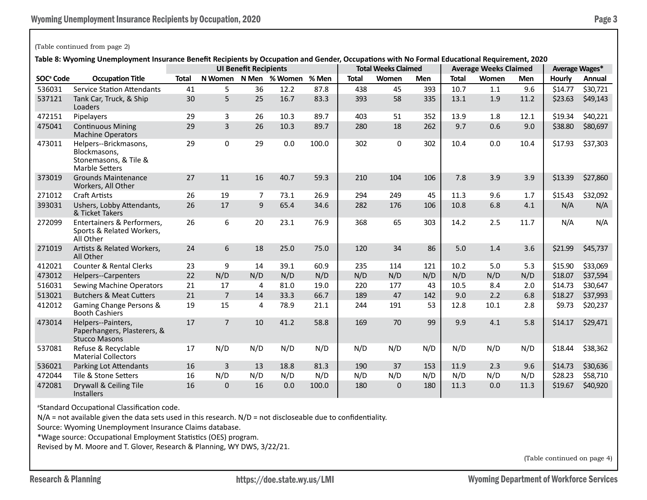## (Table continued from page 2)

**Table 8: Wyoming Unemployment Insurance Benefit Recipients by Occupation and Gender, Occupations with No Formal Educational Requirement, 2020**

|                       |                                                                                         | onemployment modiume benent neephents by occupation and ochaer, occu<br><b>UI Benefit Recipients</b> |                |     |                       | <b>Total Weeks Claimed</b> |              |             | ~~~~~~~~~~~~~~~~~~~~~~~~<br><b>Average Weeks Claimed</b> | Average Wages* |       |            |         |          |
|-----------------------|-----------------------------------------------------------------------------------------|------------------------------------------------------------------------------------------------------|----------------|-----|-----------------------|----------------------------|--------------|-------------|----------------------------------------------------------|----------------|-------|------------|---------|----------|
| SOC <sup>ª</sup> Code | <b>Occupation Title</b>                                                                 | <b>Total</b>                                                                                         |                |     | N Women N Men % Women | % Men                      | <b>Total</b> | Women       | <b>Men</b>                                               | <b>Total</b>   | Women | <b>Men</b> | Hourly  | Annual   |
| 536031                | <b>Service Station Attendants</b>                                                       | 41                                                                                                   | 5              | 36  | 12.2                  | 87.8                       | 438          | 45          | 393                                                      | 10.7           | 1.1   | 9.6        | \$14.77 | \$30,721 |
| 537121                | Tank Car, Truck, & Ship<br>Loaders                                                      | 30                                                                                                   | 5              | 25  | 16.7                  | 83.3                       | 393          | 58          | 335                                                      | 13.1           | 1.9   | 11.2       | \$23.63 | \$49,143 |
| 472151                | Pipelayers                                                                              | 29                                                                                                   | 3              | 26  | 10.3                  | 89.7                       | 403          | 51          | 352                                                      | 13.9           | 1.8   | 12.1       | \$19.34 | \$40,221 |
| 475041                | <b>Continuous Mining</b><br><b>Machine Operators</b>                                    | 29                                                                                                   | $\overline{3}$ | 26  | 10.3                  | 89.7                       | 280          | 18          | 262                                                      | 9.7            | 0.6   | 9.0        | \$38.80 | \$80,697 |
| 473011                | Helpers--Brickmasons,<br>Blockmasons.<br>Stonemasons, & Tile &<br><b>Marble Setters</b> | 29                                                                                                   | 0              | 29  | 0.0                   | 100.0                      | 302          | 0           | 302                                                      | 10.4           | 0.0   | 10.4       | \$17.93 | \$37,303 |
| 373019                | <b>Grounds Maintenance</b><br>Workers, All Other                                        | 27                                                                                                   | 11             | 16  | 40.7                  | 59.3                       | 210          | 104         | 106                                                      | 7.8            | 3.9   | 3.9        | \$13.39 | \$27,860 |
| 271012                | <b>Craft Artists</b>                                                                    | 26                                                                                                   | 19             | 7   | 73.1                  | 26.9                       | 294          | 249         | 45                                                       | 11.3           | 9.6   | 1.7        | \$15.43 | \$32,092 |
| 393031                | Ushers, Lobby Attendants,<br>& Ticket Takers                                            | 26                                                                                                   | 17             | 9   | 65.4                  | 34.6                       | 282          | 176         | 106                                                      | 10.8           | 6.8   | 4.1        | N/A     | N/A      |
| 272099                | Entertainers & Performers,<br>Sports & Related Workers,<br>All Other                    | 26                                                                                                   | 6              | 20  | 23.1                  | 76.9                       | 368          | 65          | 303                                                      | 14.2           | 2.5   | 11.7       | N/A     | N/A      |
| 271019                | Artists & Related Workers,<br>All Other                                                 | 24                                                                                                   | 6              | 18  | 25.0                  | 75.0                       | 120          | 34          | 86                                                       | 5.0            | 1.4   | 3.6        | \$21.99 | \$45,737 |
| 412021                | <b>Counter &amp; Rental Clerks</b>                                                      | 23                                                                                                   | 9              | 14  | 39.1                  | 60.9                       | 235          | 114         | 121                                                      | 10.2           | 5.0   | 5.3        | \$15.90 | \$33,069 |
| 473012                | <b>Helpers--Carpenters</b>                                                              | 22                                                                                                   | N/D            | N/D | N/D                   | N/D                        | N/D          | N/D         | N/D                                                      | N/D            | N/D   | N/D        | \$18.07 | \$37,594 |
| 516031                | <b>Sewing Machine Operators</b>                                                         | 21                                                                                                   | 17             | 4   | 81.0                  | 19.0                       | 220          | 177         | 43                                                       | 10.5           | 8.4   | 2.0        | \$14.73 | \$30,647 |
| 513021                | <b>Butchers &amp; Meat Cutters</b>                                                      | 21                                                                                                   | $\overline{7}$ | 14  | 33.3                  | 66.7                       | 189          | 47          | 142                                                      | 9.0            | 2.2   | 6.8        | \$18.27 | \$37,993 |
| 412012                | Gaming Change Persons &<br><b>Booth Cashiers</b>                                        | 19                                                                                                   | 15             | 4   | 78.9                  | 21.1                       | 244          | 191         | 53                                                       | 12.8           | 10.1  | 2.8        | \$9.73  | \$20,237 |
| 473014                | Helpers--Painters,<br>Paperhangers, Plasterers, &<br><b>Stucco Masons</b>               | 17                                                                                                   | $\overline{7}$ | 10  | 41.2                  | 58.8                       | 169          | 70          | 99                                                       | 9.9            | 4.1   | 5.8        | \$14.17 | \$29,471 |
| 537081                | Refuse & Recyclable<br><b>Material Collectors</b>                                       | 17                                                                                                   | N/D            | N/D | N/D                   | N/D                        | N/D          | N/D         | N/D                                                      | N/D            | N/D   | N/D        | \$18.44 | \$38,362 |
| 536021                | Parking Lot Attendants                                                                  | 16                                                                                                   | $\overline{3}$ | 13  | 18.8                  | 81.3                       | 190          | 37          | 153                                                      | 11.9           | 2.3   | 9.6        | \$14.73 | \$30,636 |
| 472044                | Tile & Stone Setters                                                                    | 16                                                                                                   | N/D            | N/D | N/D                   | N/D                        | N/D          | N/D         | N/D                                                      | N/D            | N/D   | N/D        | \$28.23 | \$58,710 |
| 472081                | Drywall & Ceiling Tile<br><b>Installers</b>                                             | 16                                                                                                   | $\Omega$       | 16  | 0.0                   | 100.0                      | 180          | $\mathbf 0$ | 180                                                      | 11.3           | 0.0   | 11.3       | \$19.67 | \$40,920 |

a Standard Occupational Classification code.

 $N/A$  = not available given the data sets used in this research.  $N/D$  = not discloseable due to confidentiality.

Source: Wyoming Unemployment Insurance Claims database.

\*Wage source: Occupational Employment Statistics (OES) program.

Revised by M. Moore and T. Glover, Research & Planning, WY DWS, 3/22/21.

(Table continued on page 4)